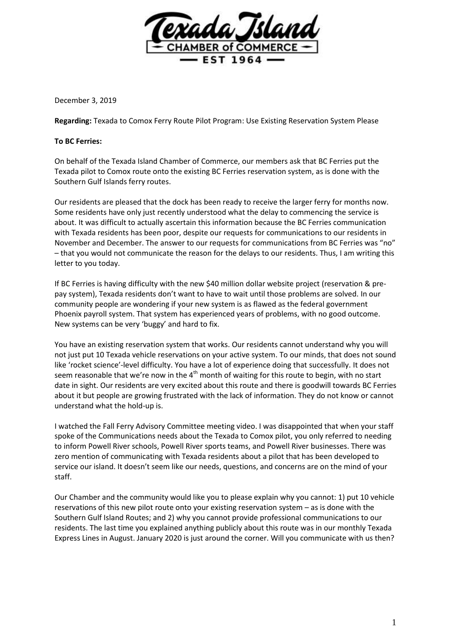

December 3, 2019

**Regarding:** Texada to Comox Ferry Route Pilot Program: Use Existing Reservation System Please

## **To BC Ferries:**

On behalf of the Texada Island Chamber of Commerce, our members ask that BC Ferries put the Texada pilot to Comox route onto the existing BC Ferries reservation system, as is done with the Southern Gulf Islands ferry routes.

Our residents are pleased that the dock has been ready to receive the larger ferry for months now. Some residents have only just recently understood what the delay to commencing the service is about. It was difficult to actually ascertain this information because the BC Ferries communication with Texada residents has been poor, despite our requests for communications to our residents in November and December. The answer to our requests for communications from BC Ferries was "no" – that you would not communicate the reason for the delays to our residents. Thus, I am writing this letter to you today.

If BC Ferries is having difficulty with the new \$40 million dollar website project (reservation & prepay system), Texada residents don't want to have to wait until those problems are solved. In our community people are wondering if your new system is as flawed as the federal government Phoenix payroll system. That system has experienced years of problems, with no good outcome. New systems can be very 'buggy' and hard to fix.

You have an existing reservation system that works. Our residents cannot understand why you will not just put 10 Texada vehicle reservations on your active system. To our minds, that does not sound like 'rocket science'-level difficulty. You have a lot of experience doing that successfully. It does not seem reasonable that we're now in the  $4<sup>th</sup>$  month of waiting for this route to begin, with no start date in sight. Our residents are very excited about this route and there is goodwill towards BC Ferries about it but people are growing frustrated with the lack of information. They do not know or cannot understand what the hold-up is.

I watched the Fall Ferry Advisory Committee meeting video. I was disappointed that when your staff spoke of the Communications needs about the Texada to Comox pilot, you only referred to needing to inform Powell River schools, Powell River sports teams, and Powell River businesses. There was zero mention of communicating with Texada residents about a pilot that has been developed to service our island. It doesn't seem like our needs, questions, and concerns are on the mind of your staff.

Our Chamber and the community would like you to please explain why you cannot: 1) put 10 vehicle reservations of this new pilot route onto your existing reservation system – as is done with the Southern Gulf Island Routes; and 2) why you cannot provide professional communications to our residents. The last time you explained anything publicly about this route was in our monthly Texada Express Lines in August. January 2020 is just around the corner. Will you communicate with us then?